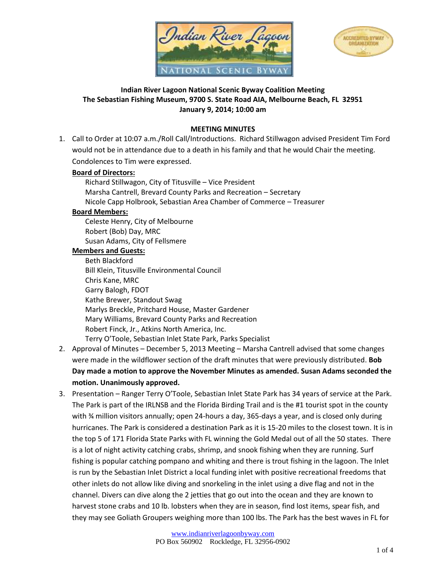



# **Indian River Lagoon National Scenic Byway Coalition Meeting The Sebastian Fishing Museum, 9700 S. State Road AIA, Melbourne Beach, FL 32951 January 9, 2014; 10:00 am**

## **MEETING MINUTES**

1. Call to Order at 10:07 a.m./Roll Call/Introductions. Richard Stillwagon advised President Tim Ford would not be in attendance due to a death in his family and that he would Chair the meeting. Condolences to Tim were expressed.

### **Board of Directors:**

Richard Stillwagon, City of Titusville – Vice President Marsha Cantrell, Brevard County Parks and Recreation – Secretary Nicole Capp Holbrook, Sebastian Area Chamber of Commerce – Treasurer

## **Board Members:**

Celeste Henry, City of Melbourne Robert (Bob) Day, MRC Susan Adams, City of Fellsmere

#### **Members and Guests:**

Beth Blackford Bill Klein, Titusville Environmental Council Chris Kane, MRC Garry Balogh, FDOT Kathe Brewer, Standout Swag Marlys Breckle, Pritchard House, Master Gardener Mary Williams, Brevard County Parks and Recreation Robert Finck, Jr., Atkins North America, Inc. Terry O'Toole, Sebastian Inlet State Park, Parks Specialist

- 2. Approval of Minutes December 5, 2013 Meeting Marsha Cantrell advised that some changes were made in the wildflower section of the draft minutes that were previously distributed. **Bob Day made a motion to approve the November Minutes as amended. Susan Adams seconded the motion. Unanimously approved.**
- 3. Presentation Ranger Terry O'Toole, Sebastian Inlet State Park has 34 years of service at the Park. The Park is part of the IRLNSB and the Florida Birding Trail and is the #1 tourist spot in the county with ¾ million visitors annually; open 24-hours a day, 365-days a year, and is closed only during hurricanes. The Park is considered a destination Park as it is 15-20 miles to the closest town. It is in the top 5 of 171 Florida State Parks with FL winning the Gold Medal out of all the 50 states. There is a lot of night activity catching crabs, shrimp, and snook fishing when they are running. Surf fishing is popular catching pompano and whiting and there is trout fishing in the lagoon. The Inlet is run by the Sebastian Inlet District a local funding inlet with positive recreational freedoms that other inlets do not allow like diving and snorkeling in the inlet using a dive flag and not in the channel. Divers can dive along the 2 jetties that go out into the ocean and they are known to harvest stone crabs and 10 lb. lobsters when they are in season, find lost items, spear fish, and they may see Goliath Groupers weighing more than 100 lbs. The Park has the best waves in FL for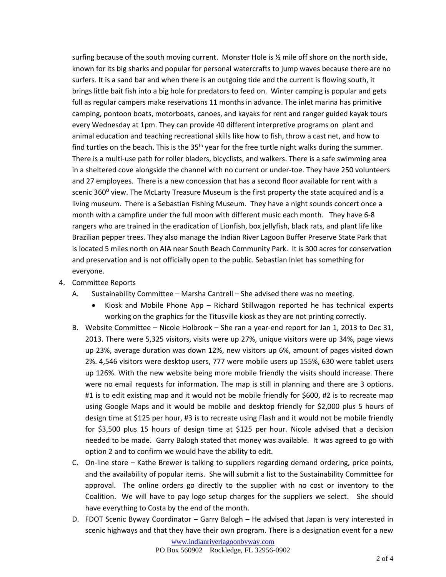surfing because of the south moving current. Monster Hole is ½ mile off shore on the north side, known for its big sharks and popular for personal watercrafts to jump waves because there are no surfers. It is a sand bar and when there is an outgoing tide and the current is flowing south, it brings little bait fish into a big hole for predators to feed on. Winter camping is popular and gets full as regular campers make reservations 11 months in advance. The inlet marina has primitive camping, pontoon boats, motorboats, canoes, and kayaks for rent and ranger guided kayak tours every Wednesday at 1pm. They can provide 40 different interpretive programs on plant and animal education and teaching recreational skills like how to fish, throw a cast net, and how to find turtles on the beach. This is the  $35<sup>th</sup>$  year for the free turtle night walks during the summer. There is a multi-use path for roller bladers, bicyclists, and walkers. There is a safe swimming area in a sheltered cove alongside the channel with no current or under-toe. They have 250 volunteers and 27 employees. There is a new concession that has a second floor available for rent with a scenic 360° view. The McLarty Treasure Museum is the first property the state acquired and is a living museum. There is a Sebastian Fishing Museum. They have a night sounds concert once a month with a campfire under the full moon with different music each month. They have 6-8 rangers who are trained in the eradication of Lionfish, box jellyfish, black rats, and plant life like Brazilian pepper trees. They also manage the Indian River Lagoon Buffer Preserve State Park that is located 5 miles north on AIA near South Beach Community Park. It is 300 acres for conservation and preservation and is not officially open to the public. Sebastian Inlet has something for everyone.

- 4. Committee Reports
	- A. Sustainability Committee Marsha Cantrell She advised there was no meeting.
		- Kiosk and Mobile Phone App Richard Stillwagon reported he has technical experts working on the graphics for the Titusville kiosk as they are not printing correctly.
	- B. Website Committee Nicole Holbrook She ran a year-end report for Jan 1, 2013 to Dec 31, 2013. There were 5,325 visitors, visits were up 27%, unique visitors were up 34%, page views up 23%, average duration was down 12%, new visitors up 6%, amount of pages visited down 2%. 4,546 visitors were desktop users, 777 were mobile users up 155%, 630 were tablet users up 126%. With the new website being more mobile friendly the visits should increase. There were no email requests for information. The map is still in planning and there are 3 options. #1 is to edit existing map and it would not be mobile friendly for \$600, #2 is to recreate map using Google Maps and it would be mobile and desktop friendly for \$2,000 plus 5 hours of design time at \$125 per hour, #3 is to recreate using Flash and it would not be mobile friendly for \$3,500 plus 15 hours of design time at \$125 per hour. Nicole advised that a decision needed to be made. Garry Balogh stated that money was available. It was agreed to go with option 2 and to confirm we would have the ability to edit.
	- C. On-line store Kathe Brewer is talking to suppliers regarding demand ordering, price points, and the availability of popular items. She will submit a list to the Sustainability Committee for approval. The online orders go directly to the supplier with no cost or inventory to the Coalition. We will have to pay logo setup charges for the suppliers we select. She should have everything to Costa by the end of the month.
	- D. FDOT Scenic Byway Coordinator Garry Balogh He advised that Japan is very interested in scenic highways and that they have their own program. There is a designation event for a new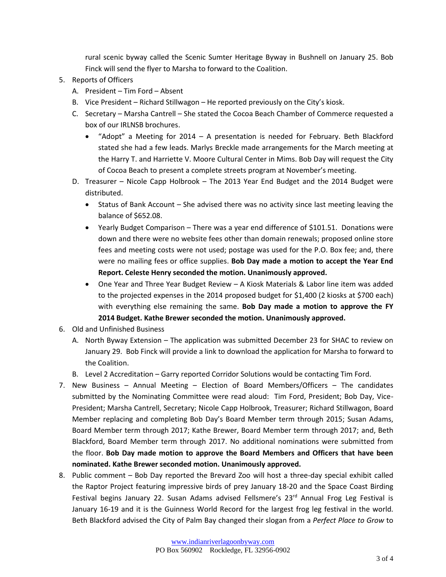rural scenic byway called the Scenic Sumter Heritage Byway in Bushnell on January 25. Bob Finck will send the flyer to Marsha to forward to the Coalition.

- 5. Reports of Officers
	- A. President Tim Ford Absent
	- B. Vice President Richard Stillwagon He reported previously on the City's kiosk.
	- C. Secretary Marsha Cantrell She stated the Cocoa Beach Chamber of Commerce requested a box of our IRLNSB brochures.
		- "Adopt" a Meeting for 2014 A presentation is needed for February. Beth Blackford stated she had a few leads. Marlys Breckle made arrangements for the March meeting at the Harry T. and Harriette V. Moore Cultural Center in Mims. Bob Day will request the City of Cocoa Beach to present a complete streets program at November's meeting.
	- D. Treasurer Nicole Capp Holbrook The 2013 Year End Budget and the 2014 Budget were distributed.
		- Status of Bank Account She advised there was no activity since last meeting leaving the balance of \$652.08.
		- Yearly Budget Comparison There was a year end difference of \$101.51. Donations were down and there were no website fees other than domain renewals; proposed online store fees and meeting costs were not used; postage was used for the P.O. Box fee; and, there were no mailing fees or office supplies. **Bob Day made a motion to accept the Year End Report. Celeste Henry seconded the motion. Unanimously approved.**
		- One Year and Three Year Budget Review A Kiosk Materials & Labor line item was added to the projected expenses in the 2014 proposed budget for \$1,400 (2 kiosks at \$700 each) with everything else remaining the same. **Bob Day made a motion to approve the FY 2014 Budget. Kathe Brewer seconded the motion. Unanimously approved.**
- 6. Old and Unfinished Business
	- A. North Byway Extension The application was submitted December 23 for SHAC to review on January 29. Bob Finck will provide a link to download the application for Marsha to forward to the Coalition.
	- B. Level 2 Accreditation Garry reported Corridor Solutions would be contacting Tim Ford.
- 7. New Business Annual Meeting Election of Board Members/Officers The candidates submitted by the Nominating Committee were read aloud: Tim Ford, President; Bob Day, Vice-President; Marsha Cantrell, Secretary; Nicole Capp Holbrook, Treasurer; Richard Stillwagon, Board Member replacing and completing Bob Day's Board Member term through 2015; Susan Adams, Board Member term through 2017; Kathe Brewer, Board Member term through 2017; and, Beth Blackford, Board Member term through 2017. No additional nominations were submitted from the floor. **Bob Day made motion to approve the Board Members and Officers that have been nominated. Kathe Brewer seconded motion. Unanimously approved.**
- 8. Public comment Bob Day reported the Brevard Zoo will host a three-day special exhibit called the Raptor Project featuring impressive birds of prey January 18-20 and the Space Coast Birding Festival begins January 22. Susan Adams advised Fellsmere's  $23<sup>rd</sup>$  Annual Frog Leg Festival is January 16-19 and it is the Guinness World Record for the largest frog leg festival in the world. Beth Blackford advised the City of Palm Bay changed their slogan from a *Perfect Place to Grow* to